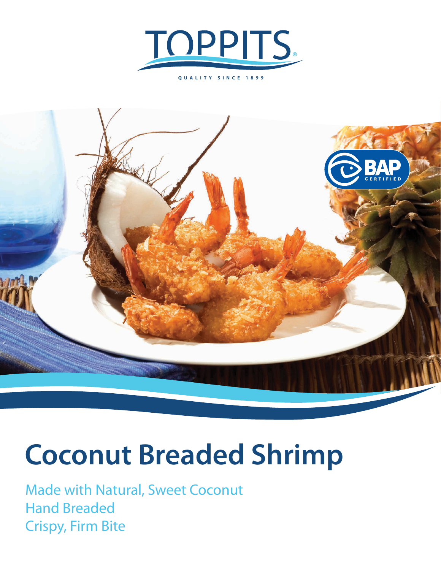



## **Coconut Breaded Shrimp**

Made with Natural, Sweet Coconut Hand Breaded Crispy, Firm Bite